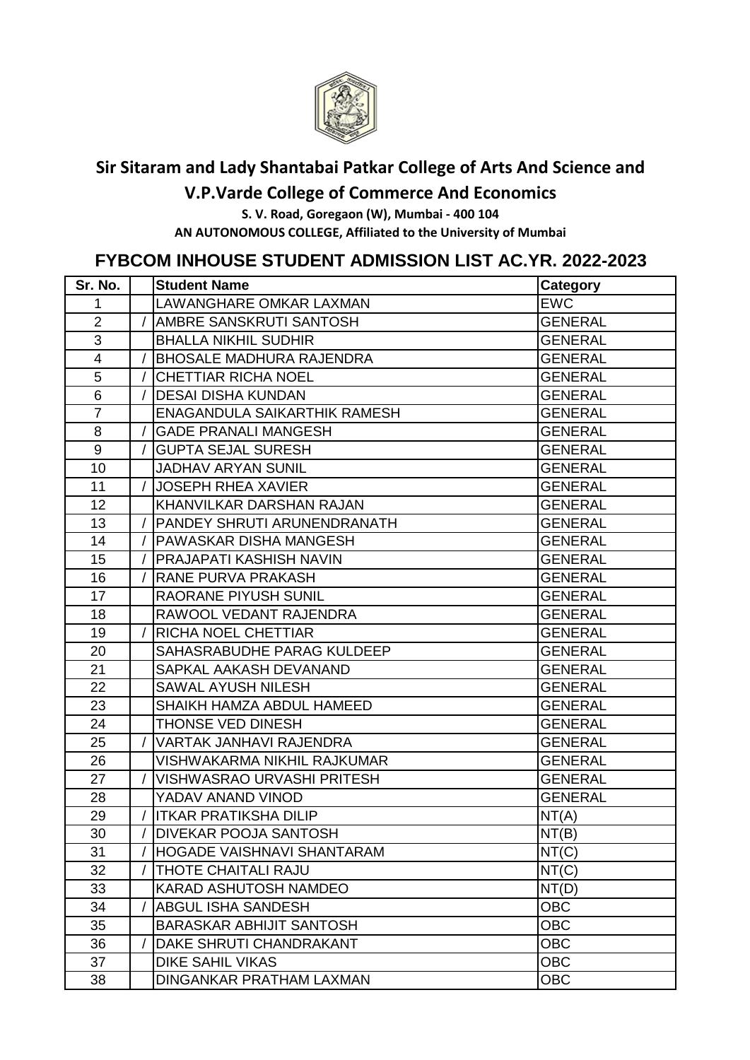

## **Sir Sitaram and Lady Shantabai Patkar College of Arts And Science and**

**V.P.Varde College of Commerce And Economics**

**S. V. Road, Goregaon (W), Mumbai - 400 104 AN AUTONOMOUS COLLEGE, Affiliated to the University of Mumbai** 

## **FYBCOM INHOUSE STUDENT ADMISSION LIST AC.YR. 2022-2023**

| Sr. No.                 | <b>Student Name</b>               | <b>Category</b> |
|-------------------------|-----------------------------------|-----------------|
| 1                       | LAWANGHARE OMKAR LAXMAN           | <b>EWC</b>      |
| $\overline{2}$          | AMBRE SANSKRUTI SANTOSH           | <b>GENERAL</b>  |
| 3                       | <b>BHALLA NIKHIL SUDHIR</b>       | <b>GENERAL</b>  |
| $\overline{\mathbf{4}}$ | <b>BHOSALE MADHURA RAJENDRA</b>   | <b>GENERAL</b>  |
| 5                       | <b>CHETTIAR RICHA NOEL</b>        | <b>GENERAL</b>  |
| 6                       | <b>DESAI DISHA KUNDAN</b>         | <b>GENERAL</b>  |
| $\overline{7}$          | ENAGANDULA SAIKARTHIK RAMESH      | <b>GENERAL</b>  |
| 8                       | <b>GADE PRANALI MANGESH</b>       | <b>GENERAL</b>  |
| $\boldsymbol{9}$        | <b>GUPTA SEJAL SURESH</b>         | <b>GENERAL</b>  |
| 10                      | <b>JADHAV ARYAN SUNIL</b>         | <b>GENERAL</b>  |
| 11                      | <b>JOSEPH RHEA XAVIER</b>         | <b>GENERAL</b>  |
| 12                      | KHANVILKAR DARSHAN RAJAN          | <b>GENERAL</b>  |
| 13                      | PANDEY SHRUTI ARUNENDRANATH       | <b>GENERAL</b>  |
| 14                      | PAWASKAR DISHA MANGESH            | <b>GENERAL</b>  |
| 15                      | PRAJAPATI KASHISH NAVIN           | <b>GENERAL</b>  |
| 16                      | RANE PURVA PRAKASH                | <b>GENERAL</b>  |
| 17                      | <b>RAORANE PIYUSH SUNIL</b>       | <b>GENERAL</b>  |
| 18                      | RAWOOL VEDANT RAJENDRA            | <b>GENERAL</b>  |
| 19                      | RICHA NOEL CHETTIAR               | <b>GENERAL</b>  |
| 20                      | SAHASRABUDHE PARAG KULDEEP        | <b>GENERAL</b>  |
| 21                      | SAPKAL AAKASH DEVANAND            | <b>GENERAL</b>  |
| 22                      | SAWAL AYUSH NILESH                | <b>GENERAL</b>  |
| 23                      | SHAIKH HAMZA ABDUL HAMEED         | <b>GENERAL</b>  |
| 24                      | THONSE VED DINESH                 | <b>GENERAL</b>  |
| 25                      | <b>VARTAK JANHAVI RAJENDRA</b>    | <b>GENERAL</b>  |
| 26                      | VISHWAKARMA NIKHIL RAJKUMAR       | <b>GENERAL</b>  |
| 27                      | <b>VISHWASRAO URVASHI PRITESH</b> | <b>GENERAL</b>  |
| 28                      | YADAV ANAND VINOD                 | <b>GENERAL</b>  |
| 29                      | <b>ITKAR PRATIKSHA DILIP</b>      | NT(A)           |
| 30                      | DIVEKAR POOJA SANTOSH             | NT(B)           |
| 31                      | HOGADE VAISHNAVI SHANTARAM        | NT(C)           |
| 32                      | THOTE CHAITALI RAJU               | NT(C)           |
| 33                      | <b>KARAD ASHUTOSH NAMDEO</b>      | NT(D)           |
| 34                      | <b>ABGUL ISHA SANDESH</b>         | <b>OBC</b>      |
| 35                      | <b>BARASKAR ABHIJIT SANTOSH</b>   | <b>OBC</b>      |
| 36                      | DAKE SHRUTI CHANDRAKANT           | <b>OBC</b>      |
| 37                      | <b>DIKE SAHIL VIKAS</b>           | <b>OBC</b>      |
| 38                      | DINGANKAR PRATHAM LAXMAN          | <b>OBC</b>      |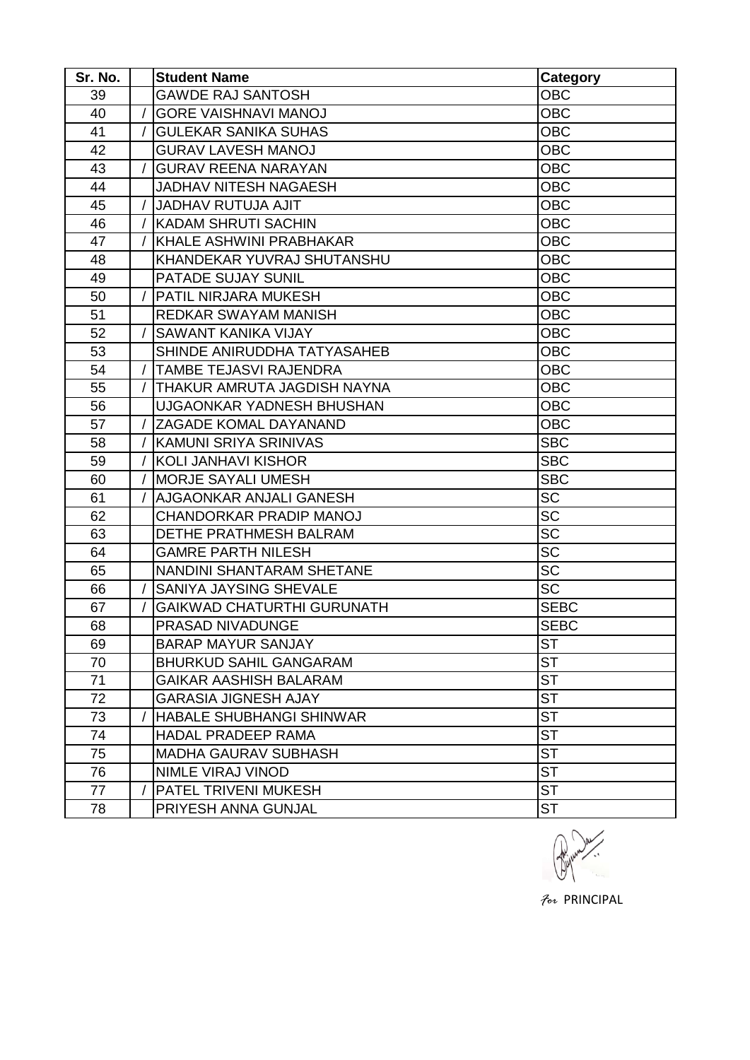| Sr. No. | <b>Student Name</b>               | <b>Category</b>        |
|---------|-----------------------------------|------------------------|
| 39      | <b>GAWDE RAJ SANTOSH</b>          | <b>OBC</b>             |
| 40      | <b>GORE VAISHNAVI MANOJ</b>       | <b>OBC</b>             |
| 41      | <b>GULEKAR SANIKA SUHAS</b>       | <b>OBC</b>             |
| 42      | <b>GURAV LAVESH MANOJ</b>         | <b>OBC</b>             |
| 43      | <b>GURAV REENA NARAYAN</b>        | <b>OBC</b>             |
| 44      | <b>JADHAV NITESH NAGAESH</b>      | <b>OBC</b>             |
| 45      | <b>JADHAV RUTUJA AJIT</b>         | <b>OBC</b>             |
| 46      | <b>KADAM SHRUTI SACHIN</b>        | <b>OBC</b>             |
| 47      | KHALE ASHWINI PRABHAKAR           | <b>OBC</b>             |
| 48      | KHANDEKAR YUVRAJ SHUTANSHU        | <b>OBC</b>             |
| 49      | PATADE SUJAY SUNIL                | <b>OBC</b>             |
| 50      | PATIL NIRJARA MUKESH              | <b>OBC</b>             |
| 51      | REDKAR SWAYAM MANISH              | <b>OBC</b>             |
| 52      | SAWANT KANIKA VIJAY               | <b>OBC</b>             |
| 53      | SHINDE ANIRUDDHA TATYASAHEB       | <b>OBC</b>             |
| 54      | TAMBE TEJASVI RAJENDRA            | <b>OBC</b>             |
| 55      | THAKUR AMRUTA JAGDISH NAYNA       | <b>OBC</b>             |
| 56      | UJGAONKAR YADNESH BHUSHAN         | <b>OBC</b>             |
| 57      | ZAGADE KOMAL DAYANAND             | <b>OBC</b>             |
| 58      | KAMUNI SRIYA SRINIVAS             | <b>SBC</b>             |
| 59      | <b>KOLI JANHAVI KISHOR</b>        | <b>SBC</b>             |
| 60      | <b>MORJE SAYALI UMESH</b>         | <b>SBC</b>             |
| 61      | AJGAONKAR ANJALI GANESH           | <b>SC</b>              |
| 62      | CHANDORKAR PRADIP MANOJ           | <b>SC</b>              |
| 63      | <b>DETHE PRATHMESH BALRAM</b>     | <b>SC</b>              |
| 64      | <b>GAMRE PARTH NILESH</b>         | <b>SC</b>              |
| 65      | <b>NANDINI SHANTARAM SHETANE</b>  | <b>SC</b>              |
| 66      | SANIYA JAYSING SHEVALE            | <b>SC</b>              |
| 67      | <b>GAIKWAD CHATURTHI GURUNATH</b> | <b>SEBC</b>            |
| 68      | PRASAD NIVADUNGE                  | <b>SEBC</b>            |
| 69      | <b>BARAP MAYUR SANJAY</b>         | <b>ST</b>              |
| 70      | <b>BHURKUD SAHIL GANGARAM</b>     | <b>ST</b>              |
| 71      | <b>GAIKAR AASHISH BALARAM</b>     | <b>ST</b>              |
| 72      | <b>GARASIA JIGNESH AJAY</b>       | <b>ST</b>              |
| 73      | HABALE SHUBHANGI SHINWAR          | <b>ST</b>              |
| 74      | <b>HADAL PRADEEP RAMA</b>         | <b>ST</b>              |
| 75      | <b>MADHA GAURAV SUBHASH</b>       | $\overline{\text{ST}}$ |
| 76      | NIMLE VIRAJ VINOD                 | <b>ST</b>              |
| 77      | PATEL TRIVENI MUKESH              | <b>ST</b>              |
| 78      | PRIYESH ANNA GUNJAL               | <b>ST</b>              |



*For* PRINCIPAL